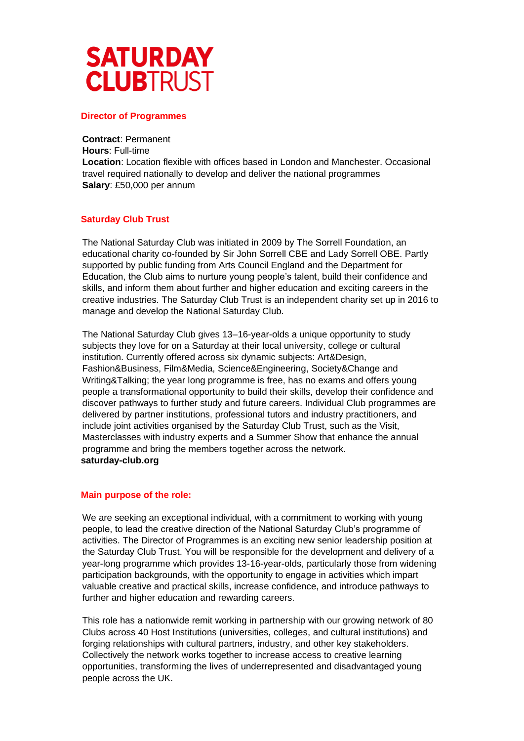

#### **Director of Programmes**

**Contract**: Permanent **Hours**: Full-time **Location**: Location flexible with offices based in London and Manchester. Occasional travel required nationally to develop and deliver the national programmes **Salary**: £50,000 per annum

#### **Saturday Club Trust**

The National Saturday Club was initiated in 2009 by The Sorrell Foundation, an educational charity co-founded by Sir John Sorrell CBE and Lady Sorrell OBE. Partly supported by public funding from Arts Council England and the Department for Education, the Club aims to nurture young people's talent, build their confidence and skills, and inform them about further and higher education and exciting careers in the creative industries. The Saturday Club Trust is an independent charity set up in 2016 to manage and develop the National Saturday Club.

The National Saturday Club gives 13–16-year-olds a unique opportunity to study subjects they love for on a Saturday at their local university, college or cultural institution. Currently offered across six dynamic subjects: Art&Design, Fashion&Business, Film&Media, Science&Engineering, Society&Change and Writing&Talking; the year long programme is free, has no exams and offers young people a transformational opportunity to build their skills, develop their confidence and discover pathways to further study and future careers. Individual Club programmes are delivered by partner institutions, professional tutors and industry practitioners, and include joint activities organised by the Saturday Club Trust, such as the Visit, Masterclasses with industry experts and a Summer Show that enhance the annual programme and bring the members together across the network. **saturday-club.org** 

#### **Main purpose of the role:**

We are seeking an exceptional individual, with a commitment to working with young people, to lead the creative direction of the National Saturday Club's programme of activities. The Director of Programmes is an exciting new senior leadership position at the Saturday Club Trust. You will be responsible for the development and delivery of a year-long programme which provides 13-16-year-olds, particularly those from widening participation backgrounds, with the opportunity to engage in activities which impart valuable creative and practical skills, increase confidence, and introduce pathways to further and higher education and rewarding careers.

This role has a nationwide remit working in partnership with our growing network of 80 Clubs across 40 Host Institutions (universities, colleges, and cultural institutions) and forging relationships with cultural partners, industry, and other key stakeholders. Collectively the network works together to increase access to creative learning opportunities, transforming the lives of underrepresented and disadvantaged young people across the UK.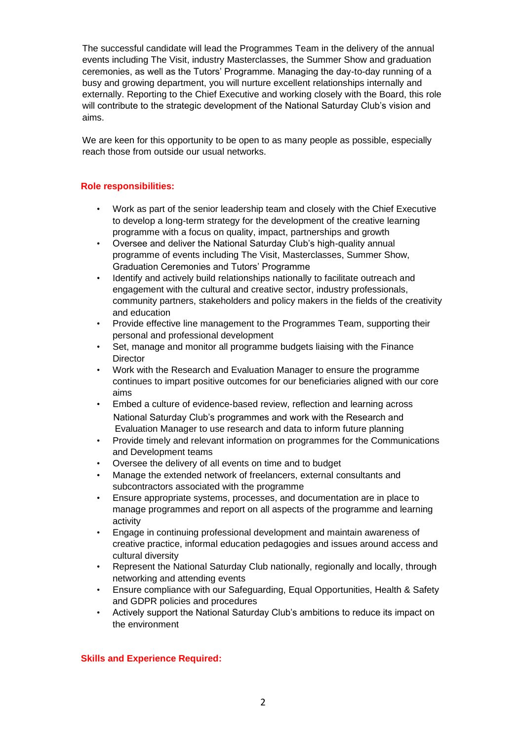The successful candidate will lead the Programmes Team in the delivery of the annual events including The Visit, industry Masterclasses, the Summer Show and graduation ceremonies, as well as the Tutors' Programme. Managing the day-to-day running of a busy and growing department, you will nurture excellent relationships internally and externally. Reporting to the Chief Executive and working closely with the Board, this role will contribute to the strategic development of the National Saturday Club's vision and aims.

We are keen for this opportunity to be open to as many people as possible, especially reach those from outside our usual networks.

# **Role responsibilities:**

- Work as part of the senior leadership team and closely with the Chief Executive to develop a long-term strategy for the development of the creative learning programme with a focus on quality, impact, partnerships and growth
- Oversee and deliver the National Saturday Club's high-quality annual programme of events including The Visit, Masterclasses, Summer Show, Graduation Ceremonies and Tutors' Programme
- Identify and actively build relationships nationally to facilitate outreach and engagement with the cultural and creative sector, industry professionals, community partners, stakeholders and policy makers in the fields of the creativity and education
- Provide effective line management to the Programmes Team, supporting their personal and professional development
- Set, manage and monitor all programme budgets liaising with the Finance **Director**
- Work with the Research and Evaluation Manager to ensure the programme continues to impart positive outcomes for our beneficiaries aligned with our core aims
- Embed a culture of evidence-based review, reflection and learning across National Saturday Club's programmes and work with the Research and Evaluation Manager to use research and data to inform future planning
- Provide timely and relevant information on programmes for the Communications and Development teams
- Oversee the delivery of all events on time and to budget
- Manage the extended network of freelancers, external consultants and subcontractors associated with the programme
- Ensure appropriate systems, processes, and documentation are in place to manage programmes and report on all aspects of the programme and learning activity
- Engage in continuing professional development and maintain awareness of creative practice, informal education pedagogies and issues around access and cultural diversity
- Represent the National Saturday Club nationally, regionally and locally, through networking and attending events
- Ensure compliance with our Safeguarding, Equal Opportunities, Health & Safety and GDPR policies and procedures
- Actively support the National Saturday Club's ambitions to reduce its impact on the environment

# **Skills and Experience Required:**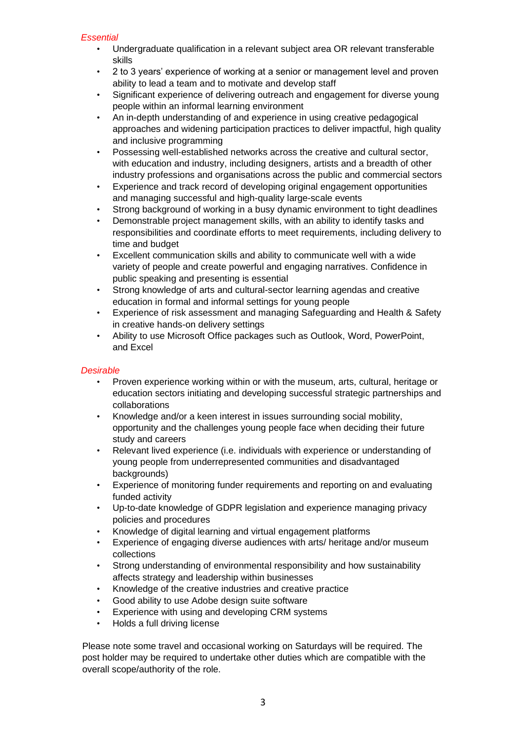### *Essential*

- Undergraduate qualification in a relevant subject area OR relevant transferable skills
- 2 to 3 years' experience of working at a senior or management level and proven ability to lead a team and to motivate and develop staff
- Significant experience of delivering outreach and engagement for diverse young people within an informal learning environment
- An in-depth understanding of and experience in using creative pedagogical approaches and widening participation practices to deliver impactful, high quality and inclusive programming
- Possessing well-established networks across the creative and cultural sector, with education and industry, including designers, artists and a breadth of other industry professions and organisations across the public and commercial sectors
- Experience and track record of developing original engagement opportunities and managing successful and high-quality large-scale events
- Strong background of working in a busy dynamic environment to tight deadlines
- Demonstrable project management skills, with an ability to identify tasks and responsibilities and coordinate efforts to meet requirements, including delivery to time and budget
- Excellent communication skills and ability to communicate well with a wide variety of people and create powerful and engaging narratives. Confidence in public speaking and presenting is essential
- Strong knowledge of arts and cultural-sector learning agendas and creative education in formal and informal settings for young people
- Experience of risk assessment and managing Safeguarding and Health & Safety in creative hands-on delivery settings
- Ability to use Microsoft Office packages such as Outlook, Word, PowerPoint, and Excel

# *Desirable*

- Proven experience working within or with the museum, arts, cultural, heritage or education sectors initiating and developing successful strategic partnerships and collaborations
- Knowledge and/or a keen interest in issues surrounding social mobility, opportunity and the challenges young people face when deciding their future study and careers
- Relevant lived experience (i.e. individuals with experience or understanding of young people from underrepresented communities and disadvantaged backgrounds)
- Experience of monitoring funder requirements and reporting on and evaluating funded activity
- Up-to-date knowledge of GDPR legislation and experience managing privacy policies and procedures
- Knowledge of digital learning and virtual engagement platforms
- Experience of engaging diverse audiences with arts/ heritage and/or museum collections
- Strong understanding of environmental responsibility and how sustainability affects strategy and leadership within businesses
- Knowledge of the creative industries and creative practice
- Good ability to use Adobe design suite software
- Experience with using and developing CRM systems
- Holds a full driving license

Please note some travel and occasional working on Saturdays will be required. The post holder may be required to undertake other duties which are compatible with the overall scope/authority of the role.